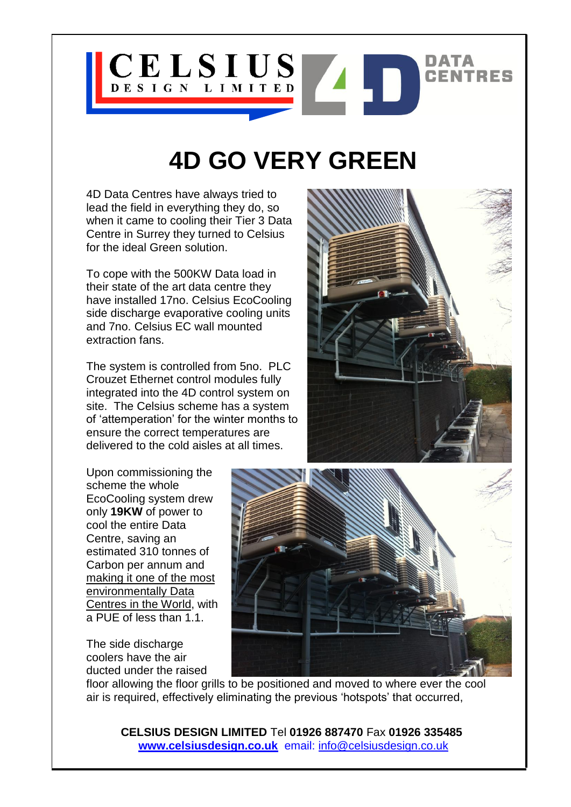

## **4D GO VERY GREEN**

4D Data Centres have always tried to lead the field in everything they do, so when it came to cooling their Tier 3 Data Centre in Surrey they turned to Celsius for the ideal Green solution.

To cope with the 500KW Data load in their state of the art data centre they have installed 17no. Celsius EcoCooling side discharge evaporative cooling units and 7no. Celsius EC wall mounted extraction fans.

The system is controlled from 5no. PLC Crouzet Ethernet control modules fully integrated into the 4D control system on site. The Celsius scheme has a system of 'attemperation' for the winter months to ensure the correct temperatures are delivered to the cold aisles at all times.

Upon commissioning the scheme the whole EcoCooling system drew only **19KW** of power to cool the entire Data Centre, saving an estimated 310 tonnes of Carbon per annum and making it one of the most environmentally Data Centres in the World, with a PUE of less than 1.1.

The side discharge coolers have the air ducted under the raised





floor allowing the floor grills to be positioned and moved to where ever the cool air is required, effectively eliminating the previous 'hotspots' that occurred,

**CELSIUS DESIGN LIMITED** Tel **01926 887470** Fax **01926 335485 [www.celsiusdesign.co.uk](http://www.celsiusdesign.co.uk/)** email: info@celsiusdesign.co.uk